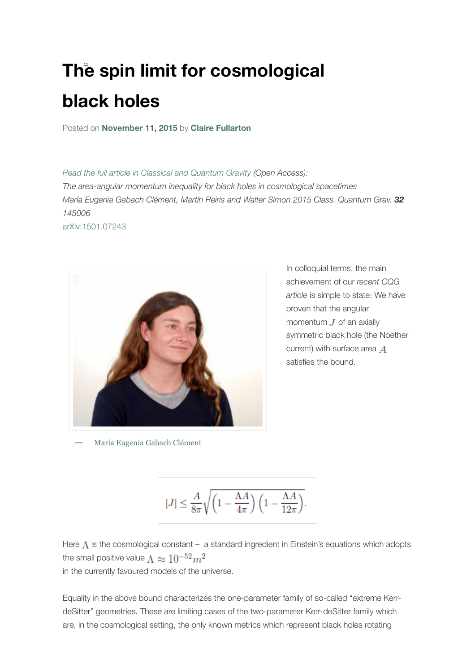## **The spin limit for cosmological black holes**

Posted on **[November 11, 2015](https://cqgplus.com/2015/11/11/the-spin-limit-for-cosmological-black-holes/)** by **[Claire Fullarton](https://cqgplus.com/author/clairefullarton/)**

*[Read the full article in Classical and Quantum Gravity](http://iopscience.iop.org/article/10.1088/0264-9381/32/14/145006) (Open Access): The area-angular momentum inequality for black holes in cosmological spacetimes María Eugenia Gabach Clément, Martín Reiris and Walter Simon 2015 Class. Quantum Grav. 32 145006*

[arXiv:1501.07243](http://arxiv.org/abs/1501.07243)



In colloquial terms, the main achievement of our *recent CQG article* is simple to state: We have proven that the angular momentum  $J$  of an axially symmetric black hole (the Noether current) with surface area A satisfies the bound.

**—** [María Eugenia Gabach Clément](https://cqgplus.files.wordpress.com/2015/09/equation-walter-cqg-post.png)

$$
|J| \leq \frac{A}{8\pi} \sqrt{\left(1-\frac{\Lambda A}{4\pi}\right)\left(1-\frac{\Lambda A}{12\pi}\right)}.
$$

Here  $\Lambda$  is the cosmological constant – a standard ingredient in Einstein's equations which adopts the small positive value  $\Lambda \approx 10^{-52} m^2$ in the currently favoured models of the universe.

Equality in the above bound characterizes the one-parameter family of so-called "extreme KerrdeSitter" geometries. These are limiting cases of the two-parameter Kerr-deSitter family which are, in the cosmological setting, the only known metrics which represent black holes rotating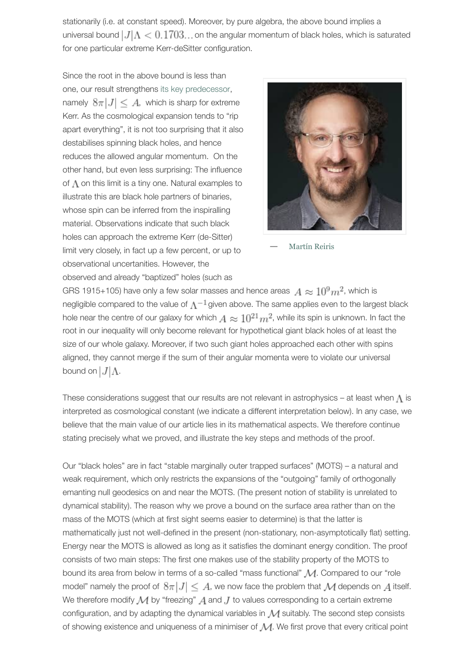stationarily (i.e. at constant speed). Moreover, by pure algebra, the above bound implies a universal bound  $|J|$   $\Lambda$  < 0.1703... on the angular momentum of black holes, which is saturated for one particular extreme Kerr-deSitter configuration.

Since the root in the above bound is less than one, our result strengthen[s its key predecessor](http://iopscience.iop.org/0264-9381/28/10/105014), namely  $8\pi |J| \leq A$ , which is sharp for extreme Kerr. As the cosmological expansion tends to "rip apart everything", it is not too surprising that it also destabilises spinning black holes, and hence reduces the allowed angular momentum. On the other hand, but even less surprising: The influence of  $\Lambda$  on this limit is a tiny one. Natural examples to illustrate this are black hole partners of binaries, whose spin can be inferred from the inspiralling material. Observations indicate that such black holes can approach the extreme Kerr (de-Sitter) limit very closely, in fact up a few percent, or up to observational uncertanities. However, the observed and already "baptized" holes (such as



**—** [Martín Reiris](http://www.aei.mpg.de/~martin/)

GRS 1915+105) have only a few solar masses and hence areas  $A \approx 10^9 m^2$ , which is negligible compared to the value of  $\Lambda^{-1}$  given above. The same applies even to the largest black hole near the centre of our galaxy for which  $A \approx 10^{21} m^2$ , while its spin is unknown. In fact the root in our inequality will only become relevant for hypothetical giant black holes of at least the size of our whole galaxy. Moreover, if two such giant holes approached each other with spins aligned, they cannot merge if the sum of their angular momenta were to violate our universal bound on  $|J|\Lambda$ .

These considerations suggest that our results are not relevant in astrophysics – at least when  $\Lambda$  is interpreted as cosmological constant (we indicate a different interpretation below). In any case, we believe that the main value of our article lies in its mathematical aspects. We therefore continue stating precisely what we proved, and illustrate the key steps and methods of the proof.

Our "black holes" are in fact "stable marginally outer trapped surfaces" (MOTS) – a natural and weak requirement, which only restricts the expansions of the "outgoing" family of orthogonally emanting null geodesics on and near the MOTS. (The present notion of stability is unrelated to dynamical stability). The reason why we prove a bound on the surface area rather than on the mass of the MOTS (which at first sight seems easier to determine) is that the latter is mathematically just not well-defined in the present (non-stationary, non-asymptotically flat) setting. Energy near the MOTS is allowed as long as it satisfies the dominant energy condition. The proof consists of two main steps: The first one makes use of the stability property of the MOTS to bound its area from below in terms of a so-called "mass functional" M. Compared to our "role model" namely the proof of  $8\pi|J| \leq A$ , we now face the problem that  $\mathcal M$  depends on  $A$  itself. We therefore modify  $M$  by "freezing"  $A$  and  $J$  to values corresponding to a certain extreme configuration, and by adapting the dynamical variables in  $\mathcal M$  suitably. The second step consists of showing existence and uniqueness of a minimiser of  $M$ . We first prove that every critical point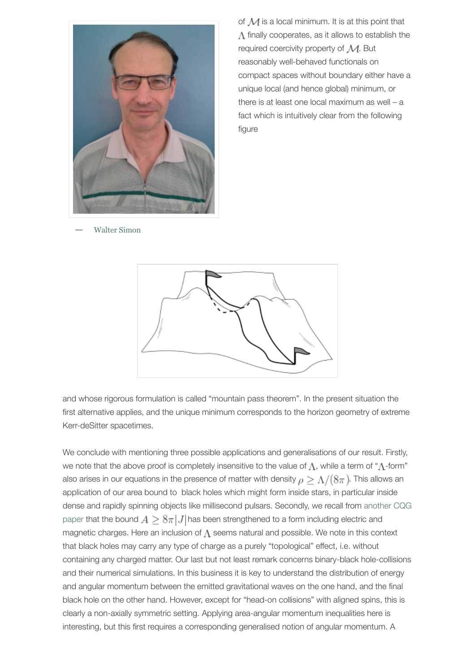

of  $M$  is a local minimum. It is at this point that  $\Lambda$  finally cooperates, as it allows to establish the required coercivity property of  $M$ . But reasonably well-behaved functionals on compact spaces without boundary either have a unique local (and hence global) minimum, or there is at least one local maximum as well – a fact which is intuitively clear from the following figure

**—** [Walter Simon](https://cqgplus.files.wordpress.com/2015/09/image.png)



and whose rigorous formulation is called "mountain pass theorem". In the present situation the first alternative applies, and the unique minimum corresponds to the horizon geometry of extreme Kerr-deSitter spacetimes.

We conclude with mentioning three possible applications and generalisations of our result. Firstly, we note that the above proof is completely insensitive to the value of  $\Lambda$ , while a term of " $\Lambda$ -form" also arises in our equations in the presence of matter with density  $\rho \geq \Lambda/(8\pi)$ . This allows an application of our area bound to black holes which might form inside stars, in particular inside [dense and rapidly spinning objects like millisecond pulsars. Secondly, we recall from another CQG](http://iopscience.iop.org/0264-9381/30/6/065017) paper that the bound  $A \geq 8\pi |J|$  has been strengthened to a form including electric and magnetic charges. Here an inclusion of  $\Lambda$  seems natural and possible. We note in this context that black holes may carry any type of charge as a purely "topological" effect, i.e. without containing any charged matter. Our last but not least remark concerns binary-black hole-collisions and their numerical simulations. In this business it is key to understand the distribution of energy and angular momentum between the emitted gravitational waves on the one hand, and the final black hole on the other hand. However, except for "head-on collisions" with aligned spins, this is clearly a non-axially symmetric setting. Applying area-angular momentum inequalities here is interesting, but this first requires a corresponding generalised notion of angular momentum. A